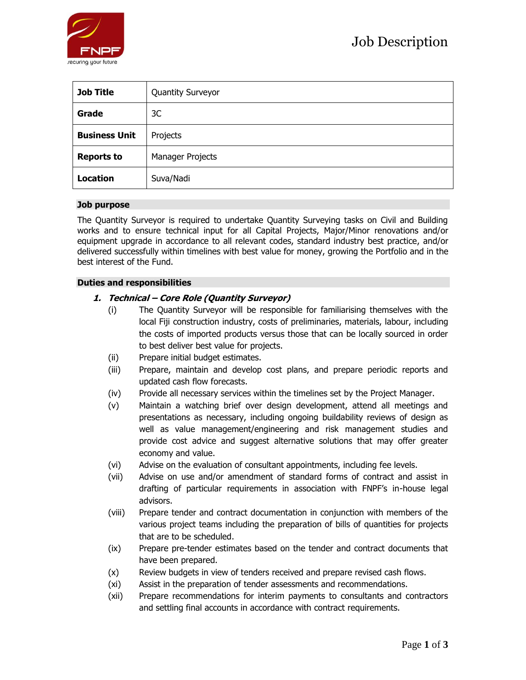

| <b>Job Title</b>     | <b>Quantity Surveyor</b> |
|----------------------|--------------------------|
| Grade                | 3C                       |
| <b>Business Unit</b> | Projects                 |
| <b>Reports to</b>    | Manager Projects         |
| <b>Location</b>      | Suva/Nadi                |

## **Job purpose**

The Quantity Surveyor is required to undertake Quantity Surveying tasks on Civil and Building works and to ensure technical input for all Capital Projects, Major/Minor renovations and/or equipment upgrade in accordance to all relevant codes, standard industry best practice, and/or delivered successfully within timelines with best value for money, growing the Portfolio and in the best interest of the Fund.

## **Duties and responsibilities**

# **1. Technical – Core Role (Quantity Surveyor)**

- (i) The Quantity Surveyor will be responsible for familiarising themselves with the local Fiji construction industry, costs of preliminaries, materials, labour, including the costs of imported products versus those that can be locally sourced in order to best deliver best value for projects.
- (ii) Prepare initial budget estimates.
- (iii) Prepare, maintain and develop cost plans, and prepare periodic reports and updated cash flow forecasts.
- (iv) Provide all necessary services within the timelines set by the Project Manager.
- (v) Maintain a watching brief over design development, attend all meetings and presentations as necessary, including ongoing buildability reviews of design as well as value management/engineering and risk management studies and provide cost advice and suggest alternative solutions that may offer greater economy and value.
- (vi) Advise on the evaluation of consultant appointments, including fee levels.
- (vii) Advise on use and/or amendment of standard forms of contract and assist in drafting of particular requirements in association with FNPF's in-house legal advisors.
- (viii) Prepare tender and contract documentation in conjunction with members of the various project teams including the preparation of bills of quantities for projects that are to be scheduled.
- (ix) Prepare pre-tender estimates based on the tender and contract documents that have been prepared.
- (x) Review budgets in view of tenders received and prepare revised cash flows.
- (xi) Assist in the preparation of tender assessments and recommendations.
- (xii) Prepare recommendations for interim payments to consultants and contractors and settling final accounts in accordance with contract requirements.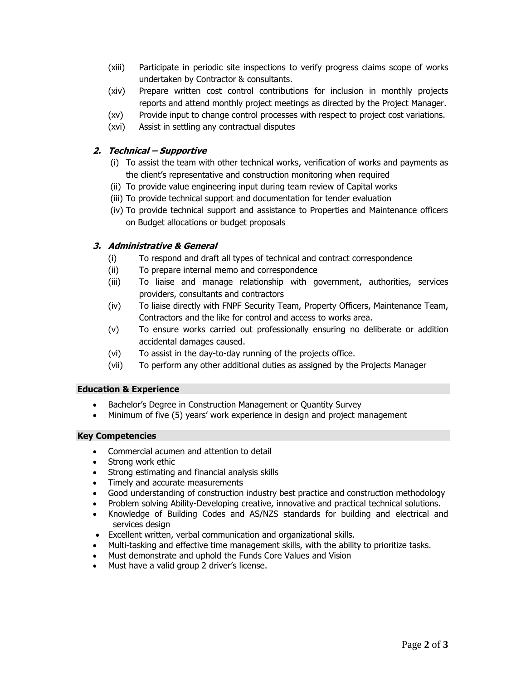- (xiii) Participate in periodic site inspections to verify progress claims scope of works undertaken by Contractor & consultants.
- (xiv) Prepare written cost control contributions for inclusion in monthly projects reports and attend monthly project meetings as directed by the Project Manager.
- (xv) Provide input to change control processes with respect to project cost variations.
- (xvi) Assist in settling any contractual disputes

# **2. Technical – Supportive**

- (i) To assist the team with other technical works, verification of works and payments as the client's representative and construction monitoring when required
- (ii) To provide value engineering input during team review of Capital works
- (iii) To provide technical support and documentation for tender evaluation
- (iv) To provide technical support and assistance to Properties and Maintenance officers on Budget allocations or budget proposals

# **3. Administrative & General**

- (i) To respond and draft all types of technical and contract correspondence
- (ii) To prepare internal memo and correspondence
- (iii) To liaise and manage relationship with government, authorities, services providers, consultants and contractors
- (iv) To liaise directly with FNPF Security Team, Property Officers, Maintenance Team, Contractors and the like for control and access to works area.
- (v) To ensure works carried out professionally ensuring no deliberate or addition accidental damages caused.
- (vi) To assist in the day-to-day running of the projects office.
- (vii) To perform any other additional duties as assigned by the Projects Manager

# **Education & Experience**

- Bachelor's Degree in Construction Management or Quantity Survey
- Minimum of five (5) years' work experience in design and project management

# **Key Competencies**

- Commercial acumen and attention to detail
- Strong work ethic
- Strong estimating and financial analysis skills
- Timely and accurate measurements
- Good understanding of construction industry best practice and construction methodology
- Problem solving Ability-Developing creative, innovative and practical technical solutions.
- Knowledge of Building Codes and AS/NZS standards for building and electrical and services design
- Excellent written, verbal communication and organizational skills.
- Multi-tasking and effective time management skills, with the ability to prioritize tasks.
- Must demonstrate and uphold the Funds Core Values and Vision
- Must have a valid group 2 driver's license.